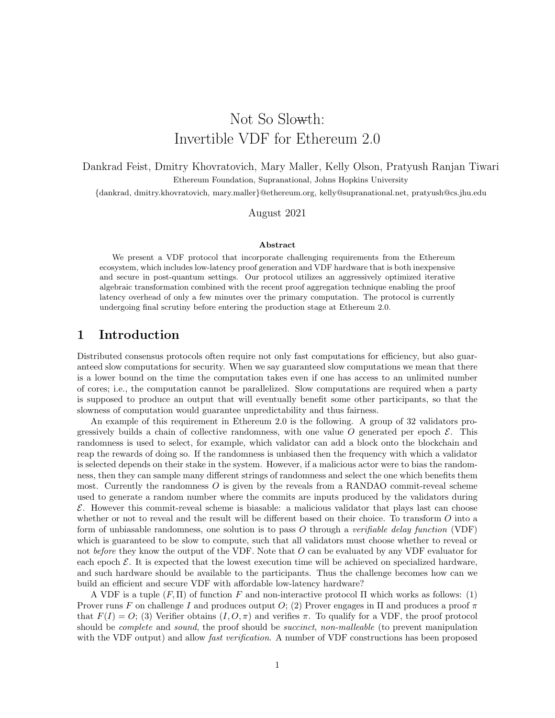# Not So Slowth: Invertible VDF for Ethereum 2.0

Dankrad Feist, Dmitry Khovratovich, Mary Maller, Kelly Olson, Pratyush Ranjan Tiwari Ethereum Foundation, Supranational, Johns Hopkins University

{dankrad, dmitry.khovratovich, mary.maller}@ethereum.org, kelly@supranational.net, pratyush@cs.jhu.edu

#### August 2021

#### Abstract

We present a VDF protocol that incorporate challenging requirements from the Ethereum ecosystem, which includes low-latency proof generation and VDF hardware that is both inexpensive and secure in post-quantum settings. Our protocol utilizes an aggressively optimized iterative algebraic transformation combined with the recent proof aggregation technique enabling the proof latency overhead of only a few minutes over the primary computation. The protocol is currently undergoing final scrutiny before entering the production stage at Ethereum 2.0.

## 1 Introduction

Distributed consensus protocols often require not only fast computations for efficiency, but also guaranteed slow computations for security. When we say guaranteed slow computations we mean that there is a lower bound on the time the computation takes even if one has access to an unlimited number of cores; i.e., the computation cannot be parallelized. Slow computations are required when a party is supposed to produce an output that will eventually benefit some other participants, so that the slowness of computation would guarantee unpredictability and thus fairness.

An example of this requirement in Ethereum 2.0 is the following. A group of 32 validators progressively builds a chain of collective randomness, with one value O generated per epoch  $\mathcal{E}$ . This randomness is used to select, for example, which validator can add a block onto the blockchain and reap the rewards of doing so. If the randomness is unbiased then the frequency with which a validator is selected depends on their stake in the system. However, if a malicious actor were to bias the randomness, then they can sample many different strings of randomness and select the one which benefits them most. Currently the randomness  $O$  is given by the reveals from a RANDAO commit-reveal scheme used to generate a random number where the commits are inputs produced by the validators during  $\mathcal E$ . However this commit-reveal scheme is biasable: a malicious validator that plays last can choose whether or not to reveal and the result will be different based on their choice. To transform O into a form of unbiasable randomness, one solution is to pass O through a verifiable delay function (VDF) which is guaranteed to be slow to compute, such that all validators must choose whether to reveal or not before they know the output of the VDF. Note that  $O$  can be evaluated by any VDF evaluator for each epoch  $\mathcal E$ . It is expected that the lowest execution time will be achieved on specialized hardware, and such hardware should be available to the participants. Thus the challenge becomes how can we build an efficient and secure VDF with affordable low-latency hardware?

A VDF is a tuple  $(F, \Pi)$  of function F and non-interactive protocol  $\Pi$  which works as follows: (1) Prover runs F on challenge I and produces output O; (2) Prover engages in  $\Pi$  and produces a proof  $\pi$ that  $F(I) = O$ ; (3) Verifier obtains  $(I, O, \pi)$  and verifies  $\pi$ . To qualify for a VDF, the proof protocol should be *complete* and *sound*, the proof should be *succinct*, non-malleable (to prevent manipulation with the VDF output) and allow *fast verification*. A number of VDF constructions has been proposed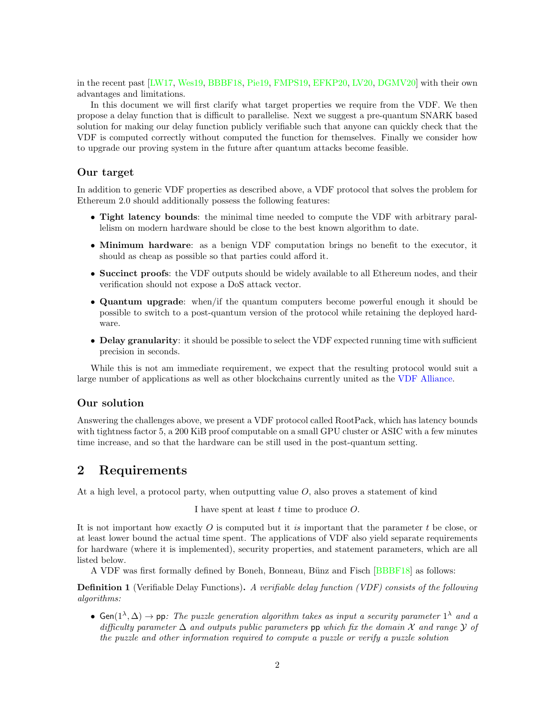in the recent past [\[LW17,](#page-12-0) [Wes19,](#page-12-1) [BBBF18,](#page-10-0) [Pie19,](#page-12-2) [FMPS19,](#page-11-0) [EFKP20,](#page-11-1) [LV20,](#page-11-2) [DGMV20\]](#page-11-3) with their own advantages and limitations.

In this document we will first clarify what target properties we require from the VDF. We then propose a delay function that is difficult to parallelise. Next we suggest a pre-quantum SNARK based solution for making our delay function publicly verifiable such that anyone can quickly check that the VDF is computed correctly without computed the function for themselves. Finally we consider how to upgrade our proving system in the future after quantum attacks become feasible.

#### Our target

In addition to generic VDF properties as described above, a VDF protocol that solves the problem for Ethereum 2.0 should additionally possess the following features:

- Tight latency bounds: the minimal time needed to compute the VDF with arbitrary parallelism on modern hardware should be close to the best known algorithm to date.
- Minimum hardware: as a benign VDF computation brings no benefit to the executor, it should as cheap as possible so that parties could afford it.
- Succinct proofs: the VDF outputs should be widely available to all Ethereum nodes, and their verification should not expose a DoS attack vector.
- Quantum upgrade: when/if the quantum computers become powerful enough it should be possible to switch to a post-quantum version of the protocol while retaining the deployed hardware.
- Delay granularity: it should be possible to select the VDF expected running time with sufficient precision in seconds.

While this is not am immediate requirement, we expect that the resulting protocol would suit a large number of applications as well as other blockchains currently united as the [VDF Alliance.](https://www.vdfalliance.org/)

## Our solution

Answering the challenges above, we present a VDF protocol called RootPack, which has latency bounds with tightness factor 5, a 200 KiB proof computable on a small GPU cluster or ASIC with a few minutes time increase, and so that the hardware can be still used in the post-quantum setting.

## 2 Requirements

At a high level, a protocol party, when outputting value  $O$ , also proves a statement of kind

I have spent at least  $t$  time to produce  $O$ .

It is not important how exactly  $O$  is computed but it is important that the parameter  $t$  be close, or at least lower bound the actual time spent. The applications of VDF also yield separate requirements for hardware (where it is implemented), security properties, and statement parameters, which are all listed below.

A VDF was first formally defined by Boneh, Bonneau, Bünz and Fisch [\[BBBF18\]](#page-10-0) as follows:

Definition 1 (Verifiable Delay Functions). A verifiable delay function (VDF) consists of the following algorithms:

• Gen $(1^{\lambda}, \Delta) \rightarrow$  pp: The puzzle generation algorithm takes as input a security parameter  $1^{\lambda}$  and a difficulty parameter  $\Delta$  and outputs public parameters pp which fix the domain X and range Y of the puzzle and other information required to compute a puzzle or verify a puzzle solution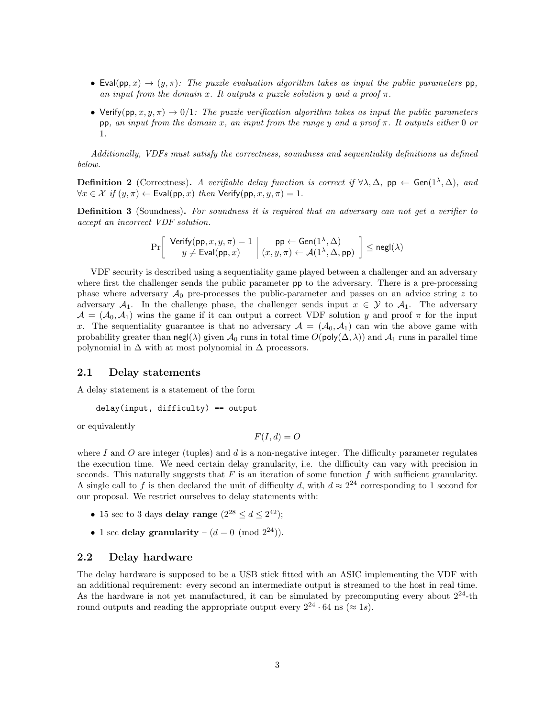- Eval(pp, x)  $\rightarrow$  (y,  $\pi$ ): The puzzle evaluation algorithm takes as input the public parameters pp, an input from the domain x. It outputs a puzzle solution y and a proof  $\pi$ .
- Verify(pp, x, y,  $\pi$ )  $\rightarrow$  0/1: The puzzle verification algorithm takes as input the public parameters pp, an input from the domain x, an input from the range y and a proof  $\pi$ . It outputs either 0 or 1.

Additionally, VDFs must satisfy the correctness, soundness and sequentiality definitions as defined below.

**Definition 2** (Correctness). A verifiable delay function is correct if  $\forall \lambda, \Delta$ , pp  $\leftarrow$  Gen $(1^{\lambda}, \Delta)$ , and  $\forall x \in \mathcal{X}$  if  $(y, \pi) \leftarrow$  Eval(pp, x) then Verify(pp, x, y,  $\pi$ ) = 1.

**Definition 3** (Soundness). For soundness it is required that an adversary can not get a verifier to accept an incorrect VDF solution.

$$
\Pr\left[\begin{array}{c} \mathsf{Verify}(\mathsf{pp},x,y,\pi)=1\\ y\neq \mathsf{Eval}(\mathsf{pp},x)\end{array} \middle|\begin{array}{c} \mathsf{pp} \leftarrow \mathsf{Gen}(1^{\lambda},\Delta)\\ (x,y,\pi)\leftarrow \mathcal{A}(1^{\lambda},\Delta,\mathsf{pp})\end{array} \right] \leq \mathsf{negl}(\lambda)
$$

VDF security is described using a sequentiality game played between a challenger and an adversary where first the challenger sends the public parameter **pp** to the adversary. There is a pre-processing phase where adversary  $\mathcal{A}_0$  pre-processes the public-parameter and passes on an advice string z to adversary  $\mathcal{A}_1$ . In the challenge phase, the challenger sends input  $x \in \mathcal{Y}$  to  $\mathcal{A}_1$ . The adversary  $\mathcal{A} = (\mathcal{A}_0, \mathcal{A}_1)$  wins the game if it can output a correct VDF solution y and proof  $\pi$  for the input x. The sequentiality guarantee is that no adversary  $\mathcal{A} = (\mathcal{A}_0, \mathcal{A}_1)$  can win the above game with probability greater than negl( $\lambda$ ) given  $\mathcal{A}_0$  runs in total time  $O(poly(\Delta, \lambda))$  and  $\mathcal{A}_1$  runs in parallel time polynomial in  $\Delta$  with at most polynomial in  $\Delta$  processors.

#### 2.1 Delay statements

A delay statement is a statement of the form

```
delay(input, difficulty) == output
```
or equivalently

 $F(I, d) = O$ 

where I and O are integer (tuples) and  $d$  is a non-negative integer. The difficulty parameter regulates the execution time. We need certain delay granularity, i.e. the difficulty can vary with precision in seconds. This naturally suggests that  $F$  is an iteration of some function  $f$  with sufficient granularity. A single call to f is then declared the unit of difficulty d, with  $d \approx 2^{24}$  corresponding to 1 second for our proposal. We restrict ourselves to delay statements with:

- 15 sec to 3 days delay range  $(2^{28} \le d \le 2^{42});$
- 1 sec delay granularity  $(d = 0 \pmod{2^{24}})$ .

#### 2.2 Delay hardware

The delay hardware is supposed to be a USB stick fitted with an ASIC implementing the VDF with an additional requirement: every second an intermediate output is streamed to the host in real time. As the hardware is not yet manufactured, it can be simulated by precomputing every about  $2^{24}$ -th round outputs and reading the appropriate output every  $2^{24} \cdot 64$  ns ( $\approx 1s$ ).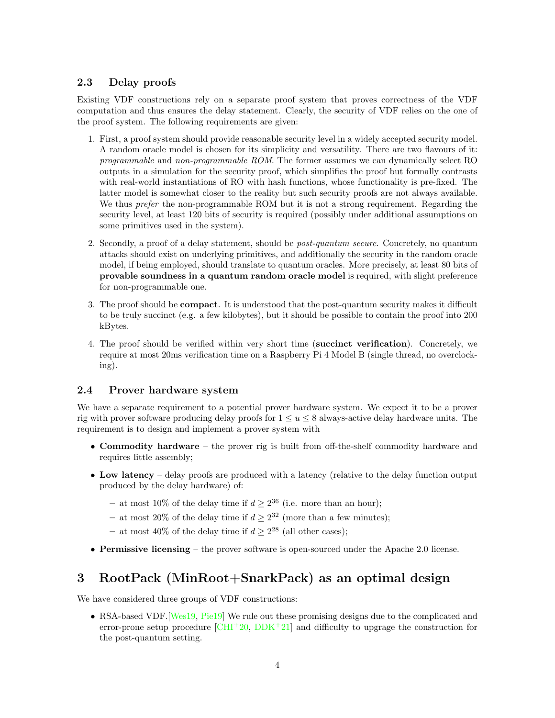## 2.3 Delay proofs

Existing VDF constructions rely on a separate proof system that proves correctness of the VDF computation and thus ensures the delay statement. Clearly, the security of VDF relies on the one of the proof system. The following requirements are given:

- 1. First, a proof system should provide reasonable security level in a widely accepted security model. A random oracle model is chosen for its simplicity and versatility. There are two flavours of it: programmable and non-programmable ROM. The former assumes we can dynamically select RO outputs in a simulation for the security proof, which simplifies the proof but formally contrasts with real-world instantiations of RO with hash functions, whose functionality is pre-fixed. The latter model is somewhat closer to the reality but such security proofs are not always available. We thus *prefer* the non-programmable ROM but it is not a strong requirement. Regarding the security level, at least 120 bits of security is required (possibly under additional assumptions on some primitives used in the system).
- 2. Secondly, a proof of a delay statement, should be post-quantum secure. Concretely, no quantum attacks should exist on underlying primitives, and additionally the security in the random oracle model, if being employed, should translate to quantum oracles. More precisely, at least 80 bits of provable soundness in a quantum random oracle model is required, with slight preference for non-programmable one.
- 3. The proof should be compact. It is understood that the post-quantum security makes it difficult to be truly succinct (e.g. a few kilobytes), but it should be possible to contain the proof into 200 kBytes.
- 4. The proof should be verified within very short time (succinct verification). Concretely, we require at most 20ms verification time on a Raspberry Pi 4 Model B (single thread, no overclocking).

## 2.4 Prover hardware system

We have a separate requirement to a potential prover hardware system. We expect it to be a prover rig with prover software producing delay proofs for  $1 \le u \le 8$  always-active delay hardware units. The requirement is to design and implement a prover system with

- Commodity hardware the prover rig is built from off-the-shelf commodity hardware and requires little assembly;
- Low latency delay proofs are produced with a latency (relative to the delay function output produced by the delay hardware) of:
	- at most 10% of the delay time if  $d \geq 2^{36}$  (i.e. more than an hour);
	- at most 20% of the delay time if  $d \geq 2^{32}$  (more than a few minutes);
	- at most 40% of the delay time if  $d \geq 2^{28}$  (all other cases);
- Permissive licensing the prover software is open-sourced under the Apache 2.0 license.

## 3 RootPack (MinRoot+SnarkPack) as an optimal design

We have considered three groups of VDF constructions:

• RSA-based VDF. [\[Wes19,](#page-12-1) [Pie19\]](#page-12-2) We rule out these promising designs due to the complicated and error-prone setup procedure  $\text{[CHI}^+20, \text{DDK}^+21]$  $\text{[CHI}^+20, \text{DDK}^+21]$  $\text{[CHI}^+20, \text{DDK}^+21]$  $\text{[CHI}^+20, \text{DDK}^+21]$  $\text{[CHI}^+20, \text{DDK}^+21]$  and difficulty to upgrage the construction for the post-quantum setting.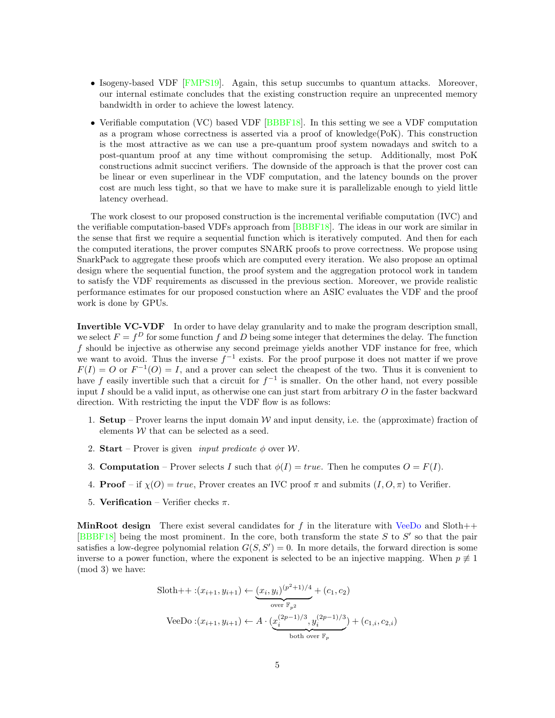- Isogeny-based VDF [\[FMPS19\]](#page-11-0). Again, this setup succumbs to quantum attacks. Moreover, our internal estimate concludes that the existing construction require an unprecented memory bandwidth in order to achieve the lowest latency.
- Verifiable computation (VC) based VDF [\[BBBF18\]](#page-10-0). In this setting we see a VDF computation as a program whose correctness is asserted via a proof of knowledge(PoK). This construction is the most attractive as we can use a pre-quantum proof system nowadays and switch to a post-quantum proof at any time without compromising the setup. Additionally, most PoK constructions admit succinct verifiers. The downside of the approach is that the prover cost can be linear or even superlinear in the VDF computation, and the latency bounds on the prover cost are much less tight, so that we have to make sure it is parallelizable enough to yield little latency overhead.

The work closest to our proposed construction is the incremental verifiable computation (IVC) and the verifiable computation-based VDFs approach from [\[BBBF18\]](#page-10-0). The ideas in our work are similar in the sense that first we require a sequential function which is iteratively computed. And then for each the computed iterations, the prover computes SNARK proofs to prove correctness. We propose using SnarkPack to aggregate these proofs which are computed every iteration. We also propose an optimal design where the sequential function, the proof system and the aggregation protocol work in tandem to satisfy the VDF requirements as discussed in the previous section. Moreover, we provide realistic performance estimates for our proposed constuction where an ASIC evaluates the VDF and the proof work is done by GPUs.

Invertible VC-VDF In order to have delay granularity and to make the program description small, we select  $F = f<sup>D</sup>$  for some function f and D being some integer that determines the delay. The function f should be injective as otherwise any second preimage yields another VDF instance for free, which we want to avoid. Thus the inverse  $f^{-1}$  exists. For the proof purpose it does not matter if we prove  $F(I) = O$  or  $F^{-1}(O) = I$ , and a prover can select the cheapest of the two. Thus it is convenient to have f easily invertible such that a circuit for  $f^{-1}$  is smaller. On the other hand, not every possible input I should be a valid input, as otherwise one can just start from arbitrary  $O$  in the faster backward direction. With restricting the input the VDF flow is as follows:

- 1. **Setup** Prover learns the input domain W and input density, i.e. the (approximate) fraction of elements  $W$  that can be selected as a seed.
- 2. Start Prover is given *input predicate*  $\phi$  over W.
- 3. **Computation** Prover selects I such that  $\phi(I) = true$ . Then he computes  $O = F(I)$ .
- 4. **Proof** if  $\chi(0) = true$ , Prover creates an IVC proof  $\pi$  and submits  $(I, 0, \pi)$  to Verifier.
- 5. Verification Verifier checks  $\pi$ .

**MinRoot design** There exist several candidates for f in the literature with [VeeDo](https://github.com/starkware-libs/veedo/commits/cc08c65694e4f8921aac9e5e82e2035b37d2a49f/reference-code/delay_function.sage) and Sloth $++$ [\[BBBF18\]](#page-10-0) being the most prominent. In the core, both transform the state  $S$  to  $S'$  so that the pair satisfies a low-degree polynomial relation  $G(S, S') = 0$ . In more details, the forward direction is some inverse to a power function, where the exponent is selected to be an injective mapping. When  $p \neq 1$ (mod 3) we have:

$$
\text{Sloth++:} (x_{i+1}, y_{i+1}) \leftarrow \underbrace{(x_i, y_i)^{(p^2+1)/4}}_{\text{over } \mathbb{F}_{p^2}} + (c_1, c_2)
$$
\n
$$
\text{VeeDo}: (x_{i+1}, y_{i+1}) \leftarrow A \cdot \underbrace{(x_i^{(2p-1)/3}, y_i^{(2p-1)/3})}_{\text{both over } \mathbb{F}_p} + (c_{1,i}, c_{2,i})
$$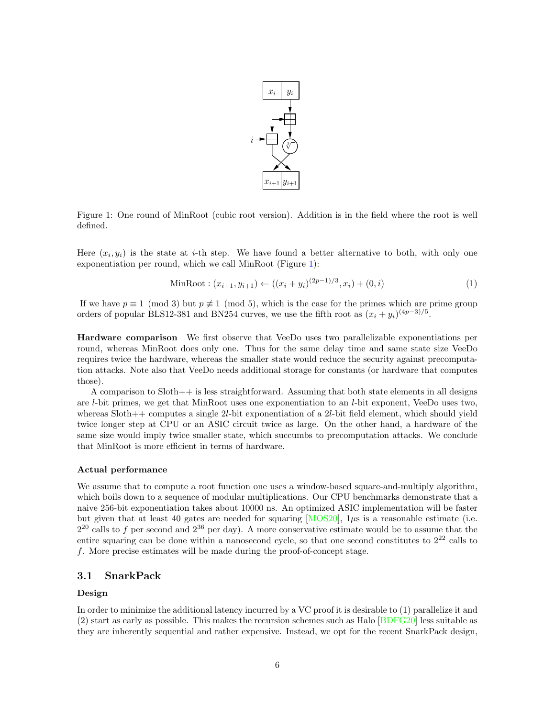

<span id="page-5-0"></span>Figure 1: One round of MinRoot (cubic root version). Addition is in the field where the root is well defined.

Here  $(x_i, y_i)$  is the state at *i*-th step. We have found a better alternative to both, with only one exponentiation per round, which we call MinRoot (Figure [1\)](#page-5-0):

$$
\text{MinRoot}: (x_{i+1}, y_{i+1}) \leftarrow ((x_i + y_i)^{(2p-1)/3}, x_i) + (0, i) \tag{1}
$$

If we have  $p \equiv 1 \pmod{3}$  but  $p \not\equiv 1 \pmod{5}$ , which is the case for the primes which are prime group orders of popular BLS12-381 and BN254 curves, we use the fifth root as  $(x_i + y_i)^{(4p-3)/5}$ .

Hardware comparison We first observe that VeeDo uses two parallelizable exponentiations per round, whereas MinRoot does only one. Thus for the same delay time and same state size VeeDo requires twice the hardware, whereas the smaller state would reduce the security against precomputation attacks. Note also that VeeDo needs additional storage for constants (or hardware that computes those).

A comparison to Sloth++ is less straightforward. Assuming that both state elements in all designs are l-bit primes, we get that MinRoot uses one exponentiation to an l-bit exponent, VeeDo uses two, whereas Sloth++ computes a single 2*l*-bit exponentiation of a 2*l*-bit field element, which should yield twice longer step at CPU or an ASIC circuit twice as large. On the other hand, a hardware of the same size would imply twice smaller state, which succumbs to precomputation attacks. We conclude that MinRoot is more efficient in terms of hardware.

#### Actual performance

We assume that to compute a root function one uses a window-based square-and-multiply algorithm, which boils down to a sequence of modular multiplications. Our CPU benchmarks demonstrate that a naive 256-bit exponentiation takes about 10000 ns. An optimized ASIC implementation will be faster but given that at least 40 gates are needed for squaring  $[MOS20]$ ,  $1\mu s$  is a reasonable estimate (i.e.  $2^{20}$  calls to f per second and  $2^{36}$  per day). A more conservative estimate would be to assume that the entire squaring can be done within a nanosecond cycle, so that one second constitutes to  $2^{22}$  calls to f. More precise estimates will be made during the proof-of-concept stage.

#### 3.1 SnarkPack

#### Design

In order to minimize the additional latency incurred by a VC proof it is desirable to (1) parallelize it and (2) start as early as possible. This makes the recursion schemes such as Halo [\[BDFG20\]](#page-10-2) less suitable as they are inherently sequential and rather expensive. Instead, we opt for the recent SnarkPack design,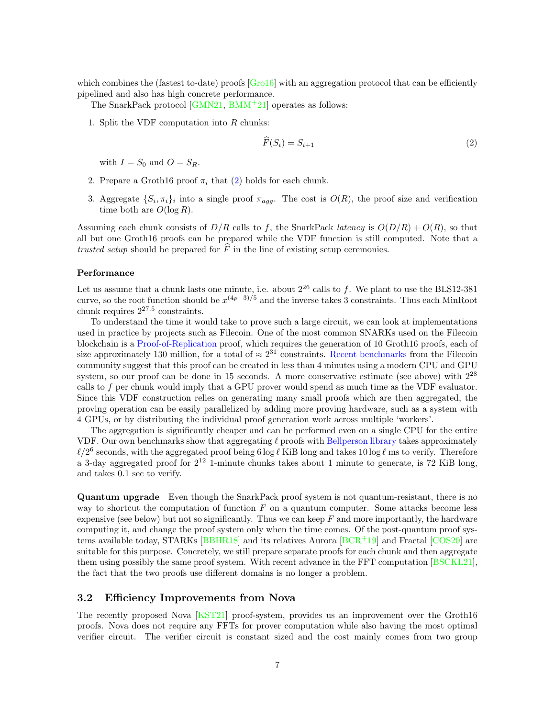which combines the (fastest to-date) proofs  $[Grol6]$  with an aggregation protocol that can be efficiently pipelined and also has high concrete performance.

The SnarkPack protocol [\[GMN21,](#page-11-6) [BMM](#page-10-3)<sup>+</sup>21] operates as follows:

1. Split the VDF computation into R chunks:

<span id="page-6-0"></span>
$$
\widehat{F}(S_i) = S_{i+1} \tag{2}
$$

with  $I = S_0$  and  $O = S_R$ .

- 2. Prepare a Groth16 proof  $\pi_i$  that [\(2\)](#page-6-0) holds for each chunk.
- 3. Aggregate  $\{S_i, \pi_i\}_i$  into a single proof  $\pi_{agg}$ . The cost is  $O(R)$ , the proof size and verification time both are  $O(\log R)$ .

Assuming each chunk consists of  $D/R$  calls to f, the SnarkPack *latency* is  $O(D/R) + O(R)$ , so that all but one Groth16 proofs can be prepared while the VDF function is still computed. Note that a trusted setup should be prepared for  $\hat{F}$  in the line of existing setup ceremonies.

#### Performance

Let us assume that a chunk lasts one minute, i.e. about  $2^{26}$  calls to f. We plant to use the BLS12-381 curve, so the root function should be  $x^{(4p-3)/5}$  and the inverse takes 3 constraints. Thus each MinRoot chunk requires  $2^{27.5}$  constraints.

To understand the time it would take to prove such a large circuit, we can look at implementations used in practice by projects such as Filecoin. One of the most common SNARKs used on the Filecoin blockchain is a [Proof-of-Replication](https://www.youtube.com/watch?v=GRaR8N380h0&t=481s&ab_channel=ETHGlobal) proof, which requires the generation of 10 Groth16 proofs, each of size approximately 130 million, for a total of  $\approx 2^{31}$  constraints. [Recent benchmarks](https://research.protocol.ai/sites/snarks/) from the Filecoin community suggest that this proof can be created in less than 4 minutes using a modern CPU and GPU system, so our proof can be done in 15 seconds. A more conservative estimate (see above) with  $2^{28}$ calls to f per chunk would imply that a GPU prover would spend as much time as the VDF evaluator. Since this VDF construction relies on generating many small proofs which are then aggregated, the proving operation can be easily parallelized by adding more proving hardware, such as a system with 4 GPUs, or by distributing the individual proof generation work across multiple 'workers'.

The aggregation is significantly cheaper and can be performed even on a single CPU for the entire VDF. Our own benchmarks show that aggregating  $\ell$  proofs with [Bellperson library](https://github.com/filecoin-project/bellperson/tree/master/src) takes approximately  $\ell/2^6$  seconds, with the aggregated proof being 6 log  $\ell$  KiB long and takes 10 log  $\ell$  ms to verify. Therefore a 3-day aggregated proof for  $2^{12}$  1-minute chunks takes about 1 minute to generate, is 72 KiB long, and takes 0.1 sec to verify.

Quantum upgrade Even though the SnarkPack proof system is not quantum-resistant, there is no way to shortcut the computation of function  $F$  on a quantum computer. Some attacks become less expensive (see below) but not so significantly. Thus we can keep  $F$  and more importantly, the hardware computing it, and change the proof system only when the time comes. Of the post-quantum proof systems available today, STARKs  $[BBHR18]$  and its relatives Aurora  $[BCR^+19]$  $[BCR^+19]$  and Fractal  $[COS20]$  are suitable for this purpose. Concretely, we still prepare separate proofs for each chunk and then aggregate them using possibly the same proof system. With recent advance in the FFT computation [\[BSCKL21\]](#page-10-6), the fact that the two proofs use different domains is no longer a problem.

### 3.2 Efficiency Improvements from Nova

The recently proposed Nova [\[KST21\]](#page-11-8) proof-system, provides us an improvement over the Groth16 proofs. Nova does not require any FFTs for prover computation while also having the most optimal verifier circuit. The verifier circuit is constant sized and the cost mainly comes from two group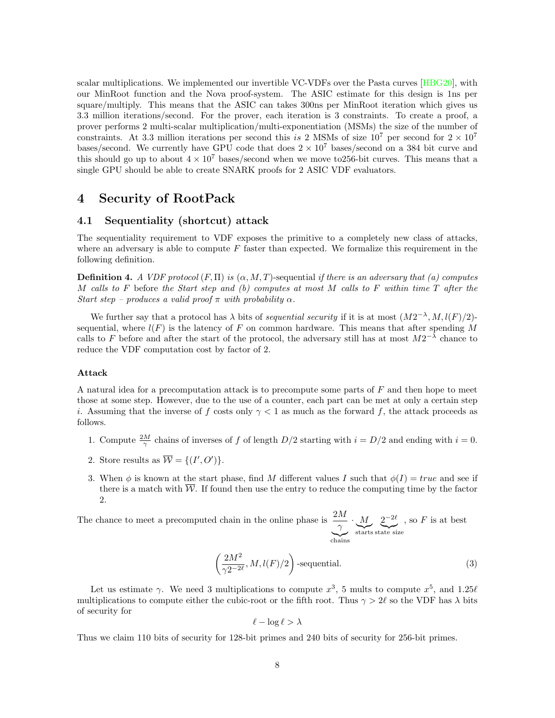scalar multiplications. We implemented our invertible VC-VDFs over the Pasta curves [\[HBG20\]](#page-11-9), with our MinRoot function and the Nova proof-system. The ASIC estimate for this design is 1ns per square/multiply. This means that the ASIC can takes 300ns per MinRoot iteration which gives us 3.3 million iterations/second. For the prover, each iteration is 3 constraints. To create a proof, a prover performs 2 multi-scalar multiplication/multi-exponentiation (MSMs) the size of the number of constraints. At 3.3 million iterations per second this is 2 MSMs of size  $10^7$  per second for  $2 \times 10^7$ bases/second. We currently have GPU code that does  $2 \times 10^7$  bases/second on a 384 bit curve and this should go up to about  $4 \times 10^7$  bases/second when we move to 256-bit curves. This means that a single GPU should be able to create SNARK proofs for 2 ASIC VDF evaluators.

## 4 Security of RootPack

### 4.1 Sequentiality (shortcut) attack

The sequentiality requirement to VDF exposes the primitive to a completely new class of attacks, where an adversary is able to compute  $F$  faster than expected. We formalize this requirement in the following definition.

**Definition 4.** A VDF protocol  $(F, \Pi)$  is  $(\alpha, M, T)$ -sequential if there is an adversary that (a) computes M calls to F before the Start step and (b) computes at most M calls to F within time  $T$  after the Start step – produces a valid proof  $\pi$  with probability  $\alpha$ .

We further say that a protocol has  $\lambda$  bits of *sequential security* if it is at most  $(M2^{-\lambda}, M, l(F)/2)$ sequential, where  $l(F)$  is the latency of F on common hardware. This means that after spending M calls to F before and after the start of the protocol, the adversary still has at most  $M2^{-\lambda}$  chance to reduce the VDF computation cost by factor of 2.

#### Attack

A natural idea for a precomputation attack is to precompute some parts of  $F$  and then hope to meet those at some step. However, due to the use of a counter, each part can be met at only a certain step i. Assuming that the inverse of f costs only  $\gamma < 1$  as much as the forward f, the attack proceeds as follows.

- 1. Compute  $\frac{2M}{\gamma}$  chains of inverses of f of length  $D/2$  starting with  $i = D/2$  and ending with  $i = 0$ .
- 2. Store results as  $\overline{\mathcal{W}} = \{(I', O')\}.$
- 3. When  $\phi$  is known at the start phase, find M different values I such that  $\phi(I) = true$  and see if there is a match with  $\overline{\mathcal{W}}$ . If found then use the entry to reduce the computing time by the factor 2.

The chance to meet a precomputed chain in the online phase is  $\frac{2M}{\gamma}$ |{z} chains ·  $\sum_{\text{starts}}$ M starts  $2^{-2\ell}$ state size , so  $F$  is at best

<span id="page-7-0"></span>
$$
\left(\frac{2M^2}{\gamma 2^{-2\ell}}, M, l(F)/2\right)
$$
-sequential. (3)

Let us estimate  $\gamma$ . We need 3 multiplications to compute  $x^3$ , 5 mults to compute  $x^5$ , and 1.25 $\ell$ multiplications to compute either the cubic-root or the fifth root. Thus  $\gamma > 2\ell$  so the VDF has  $\lambda$  bits of security for

$$
\ell - \log \ell > \lambda
$$

Thus we claim 110 bits of security for 128-bit primes and 240 bits of security for 256-bit primes.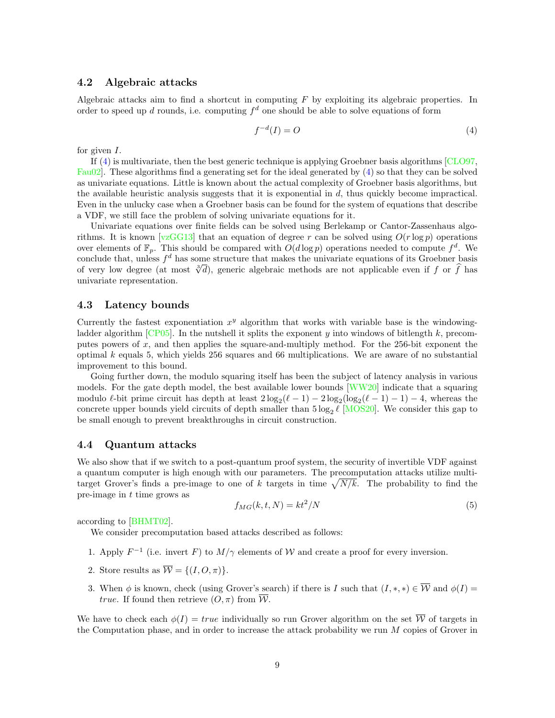#### 4.2 Algebraic attacks

Algebraic attacks aim to find a shortcut in computing  $F$  by exploiting its algebraic properties. In order to speed up d rounds, i.e. computing  $f<sup>d</sup>$  one should be able to solve equations of form

<span id="page-8-0"></span>
$$
f^{-d}(I) = O \tag{4}
$$

for given  $I$ .

If [\(4\)](#page-8-0) is multivariate, then the best generic technique is applying Groebner basis algorithms [\[CLO97,](#page-11-10) [Fau02\]](#page-11-11). These algorithms find a generating set for the ideal generated by [\(4\)](#page-8-0) so that they can be solved as univariate equations. Little is known about the actual complexity of Groebner basis algorithms, but the available heuristic analysis suggests that it is exponential in  $d$ , thus quickly become impractical. Even in the unlucky case when a Groebner basis can be found for the system of equations that describe a VDF, we still face the problem of solving univariate equations for it.

Univariate equations over finite fields can be solved using Berlekamp or Cantor-Zassenhaus algo-rithms. It is known [\[vzGG13\]](#page-12-4) that an equation of degree r can be solved using  $O(r \log p)$  operations over elements of  $\mathbb{F}_p$ . This should be compared with  $O(d \log p)$  operations needed to compute  $f^d$ . We conclude that, unless  $f^d$  has some structure that makes the univariate equations of its Groebner basis conclude that, unless  $f^*$  has some structure that makes the univariate equations of its Groepher passes of very low degree (at most  $\sqrt[3]{d}$ ), generic algebraic methods are not applicable even if  $f$  or  $\hat{f}$  has univariate representation.

#### 4.3 Latency bounds

Currently the fastest exponentiation  $x^y$  algorithm that works with variable base is the windowingladder algorithm  $[CP05]$ . In the nutshell it splits the exponent y into windows of bitlength k, precomputes powers of  $x$ , and then applies the square-and-multiply method. For the 256-bit exponent the optimal  $k$  equals 5, which yields 256 squares and 66 multiplications. We are aware of no substantial improvement to this bound.

Going further down, the modulo squaring itself has been the subject of latency analysis in various models. For the gate depth model, the best available lower bounds [\[WW20\]](#page-12-5) indicate that a squaring modulo  $\ell$ -bit prime circuit has depth at least  $2\log_2(\ell-1) - 2\log_2(\log_2(\ell-1) - 1) - 4$ , whereas the concrete upper bounds yield circuits of depth smaller than  $5 \log_2 \ell$  [\[MOS20\]](#page-12-3). We consider this gap to be small enough to prevent breakthroughs in circuit construction.

#### 4.4 Quantum attacks

We also show that if we switch to a post-quantum proof system, the security of invertible VDF against a quantum computer is high enough with our parameters. The precomputation attacks utilize multitarget Grover's finds a pre-image to one of k targets in time  $\sqrt{N/k}$ . The probability to find the pre-image in t time grows as

<span id="page-8-1"></span>
$$
f_{MG}(k, t, N) = kt^2/N
$$
\n(5)

according to [\[BHMT02\]](#page-10-7).

We consider precomputation based attacks described as follows:

- 1. Apply  $F^{-1}$  (i.e. invert F) to  $M/\gamma$  elements of W and create a proof for every inversion.
- 2. Store results as  $\overline{\mathcal{W}} = \{(I, O, \pi)\}.$
- 3. When  $\phi$  is known, check (using Grover's search) if there is I such that  $(I, *, *) \in \overline{\mathcal{W}}$  and  $\phi(I) =$ *true.* If found then retrieve  $(0, \pi)$  from  $\overline{\mathcal{W}}$ .

We have to check each  $\phi(I) = true$  individually so run Grover algorithm on the set  $\overline{\mathcal{W}}$  of targets in the Computation phase, and in order to increase the attack probability we run M copies of Grover in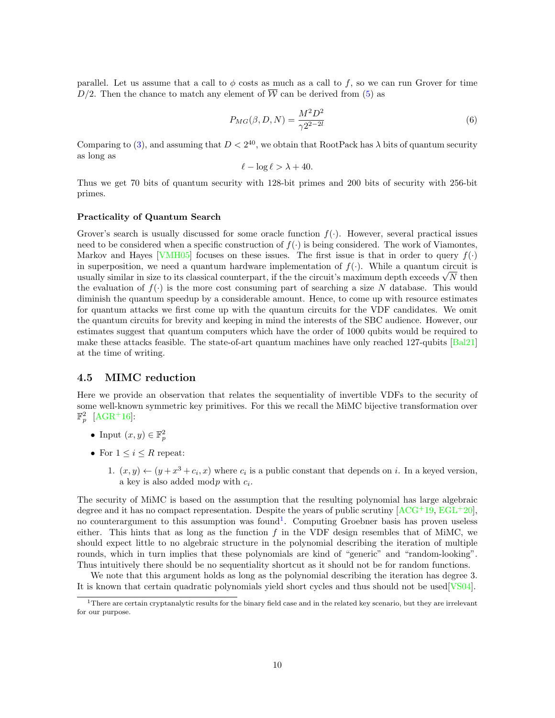parallel. Let us assume that a call to  $\phi$  costs as much as a call to f, so we can run Grover for time  $D/2$ . Then the chance to match any element of  $\overline{W}$  can be derived from [\(5\)](#page-8-1) as

$$
P_{MG}(\beta, D, N) = \frac{M^2 D^2}{\gamma 2^{2 - 2l}}\tag{6}
$$

Comparing to [\(3\)](#page-7-0), and assuming that  $D < 2^{40}$ , we obtain that RootPack has  $\lambda$  bits of quantum security as long as

$$
\ell - \log \ell > \lambda + 40.
$$

Thus we get 70 bits of quantum security with 128-bit primes and 200 bits of security with 256-bit primes.

#### Practicality of Quantum Search

Grover's search is usually discussed for some oracle function  $f(.)$ . However, several practical issues need to be considered when a specific construction of  $f(\cdot)$  is being considered. The work of Viamontes, Markov and Hayes [\[VMH05\]](#page-12-6) focuses on these issues. The first issue is that in order to query  $f(\cdot)$ in superposition, we need a quantum hardware implementation of  $f(.)$ . While a quantum circuit is in superposition, we need a quantum nardware implementation of  $J(\cdot)$ . While a quantum circuit is usually similar in size to its classical counterpart, if the the circuit's maximum depth exceeds  $\sqrt{N}$  then the evaluation of  $f(.)$  is the more cost consuming part of searching a size N database. This would diminish the quantum speedup by a considerable amount. Hence, to come up with resource estimates for quantum attacks we first come up with the quantum circuits for the VDF candidates. We omit the quantum circuits for brevity and keeping in mind the interests of the SBC audience. However, our estimates suggest that quantum computers which have the order of 1000 qubits would be required to make these attacks feasible. The state-of-art quantum machines have only reached 127-qubits [\[Bal21\]](#page-10-8) at the time of writing.

#### 4.5 MIMC reduction

Here we provide an observation that relates the sequentiality of invertible VDFs to the security of some well-known symmetric key primitives. For this we recall the MiMC bijective transformation over  $\mathbb{F}_p^2$  [\[AGR](#page-10-9)<sup>+</sup>16]:

- Input  $(x, y) \in \mathbb{F}_p^2$
- For  $1 \leq i \leq R$  repeat:
	- 1.  $(x, y) \leftarrow (y + x^3 + c_i, x)$  where  $c_i$  is a public constant that depends on *i*. In a keyed version, a key is also added modp with  $c_i$ .

The security of MiMC is based on the assumption that the resulting polynomial has large algebraic degree and it has no compact representation. Despite the years of public scrutiny  $[ACG^+19, EGL^+20]$  $[ACG^+19, EGL^+20]$  $[ACG^+19, EGL^+20]$  $[ACG^+19, EGL^+20]$ , no counterargument to this assumption was found<sup>[1](#page-9-0)</sup>. Computing Groebner basis has proven useless either. This hints that as long as the function  $f$  in the VDF design resembles that of MiMC, we should expect little to no algebraic structure in the polynomial describing the iteration of multiple rounds, which in turn implies that these polynomials are kind of "generic" and "random-looking". Thus intuitively there should be no sequentiality shortcut as it should not be for random functions.

We note that this argument holds as long as the polynomial describing the iteration has degree 3. It is known that certain quadratic polynomials yield short cycles and thus should not be used[\[VS04\]](#page-12-7).

<span id="page-9-0"></span> $1$ There are certain cryptanalytic results for the binary field case and in the related key scenario, but they are irrelevant for our purpose.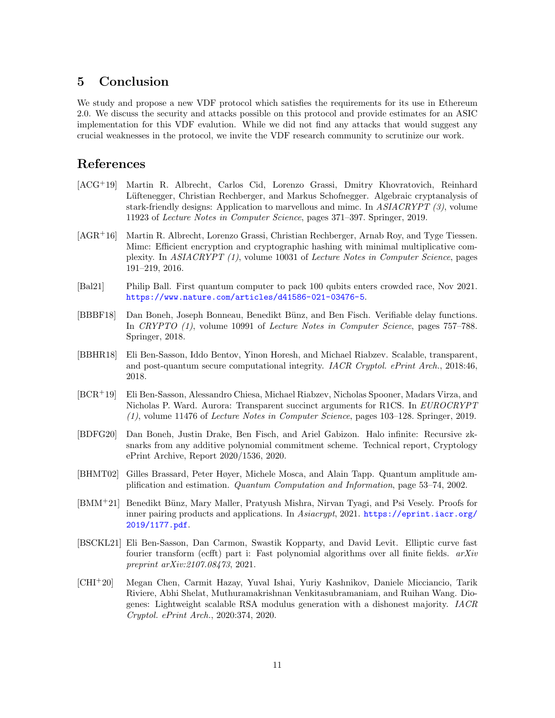## 5 Conclusion

We study and propose a new VDF protocol which satisfies the requirements for its use in Ethereum 2.0. We discuss the security and attacks possible on this protocol and provide estimates for an ASIC implementation for this VDF evalution. While we did not find any attacks that would suggest any crucial weaknesses in the protocol, we invite the VDF research community to scrutinize our work.

## References

- <span id="page-10-10"></span>[ACG+19] Martin R. Albrecht, Carlos Cid, Lorenzo Grassi, Dmitry Khovratovich, Reinhard Lüftenegger, Christian Rechberger, and Markus Schofnegger. Algebraic cryptanalysis of stark-friendly designs: Application to marvellous and mimc. In ASIACRYPT (3), volume 11923 of Lecture Notes in Computer Science, pages 371–397. Springer, 2019.
- <span id="page-10-9"></span>[AGR+16] Martin R. Albrecht, Lorenzo Grassi, Christian Rechberger, Arnab Roy, and Tyge Tiessen. Mimc: Efficient encryption and cryptographic hashing with minimal multiplicative complexity. In ASIACRYPT (1), volume 10031 of Lecture Notes in Computer Science, pages 191–219, 2016.
- <span id="page-10-8"></span>[Bal21] Philip Ball. First quantum computer to pack 100 qubits enters crowded race, Nov 2021. <https://www.nature.com/articles/d41586-021-03476-5>.
- <span id="page-10-0"></span>[BBBF18] Dan Boneh, Joseph Bonneau, Benedikt Bünz, and Ben Fisch. Verifiable delay functions. In CRYPTO (1), volume 10991 of Lecture Notes in Computer Science, pages 757–788. Springer, 2018.
- <span id="page-10-4"></span>[BBHR18] Eli Ben-Sasson, Iddo Bentov, Yinon Horesh, and Michael Riabzev. Scalable, transparent, and post-quantum secure computational integrity. IACR Cryptol. ePrint Arch., 2018:46, 2018.
- <span id="page-10-5"></span>[BCR+19] Eli Ben-Sasson, Alessandro Chiesa, Michael Riabzev, Nicholas Spooner, Madars Virza, and Nicholas P. Ward. Aurora: Transparent succinct arguments for R1CS. In EUROCRYPT (1), volume 11476 of Lecture Notes in Computer Science, pages 103–128. Springer, 2019.
- <span id="page-10-2"></span>[BDFG20] Dan Boneh, Justin Drake, Ben Fisch, and Ariel Gabizon. Halo infinite: Recursive zksnarks from any additive polynomial commitment scheme. Technical report, Cryptology ePrint Archive, Report 2020/1536, 2020.
- <span id="page-10-7"></span>[BHMT02] Gilles Brassard, Peter Høyer, Michele Mosca, and Alain Tapp. Quantum amplitude amplification and estimation. Quantum Computation and Information, page 53–74, 2002.
- <span id="page-10-3"></span>[BMM<sup>+</sup>21] Benedikt Bünz, Mary Maller, Pratyush Mishra, Nirvan Tyagi, and Psi Vesely. Proofs for inner pairing products and applications. In Asiacrypt, 2021. [https://eprint.iacr.org/](https://eprint.iacr.org/2019/1177.pdf) [2019/1177.pdf](https://eprint.iacr.org/2019/1177.pdf).
- <span id="page-10-6"></span>[BSCKL21] Eli Ben-Sasson, Dan Carmon, Swastik Kopparty, and David Levit. Elliptic curve fast fourier transform (ecfft) part i: Fast polynomial algorithms over all finite fields.  $arXiv$ preprint arXiv:2107.08473, 2021.
- <span id="page-10-1"></span>[CHI<sup>+</sup>20] Megan Chen, Carmit Hazay, Yuval Ishai, Yuriy Kashnikov, Daniele Micciancio, Tarik Riviere, Abhi Shelat, Muthuramakrishnan Venkitasubramaniam, and Ruihan Wang. Diogenes: Lightweight scalable RSA modulus generation with a dishonest majority. IACR Cryptol. ePrint Arch., 2020:374, 2020.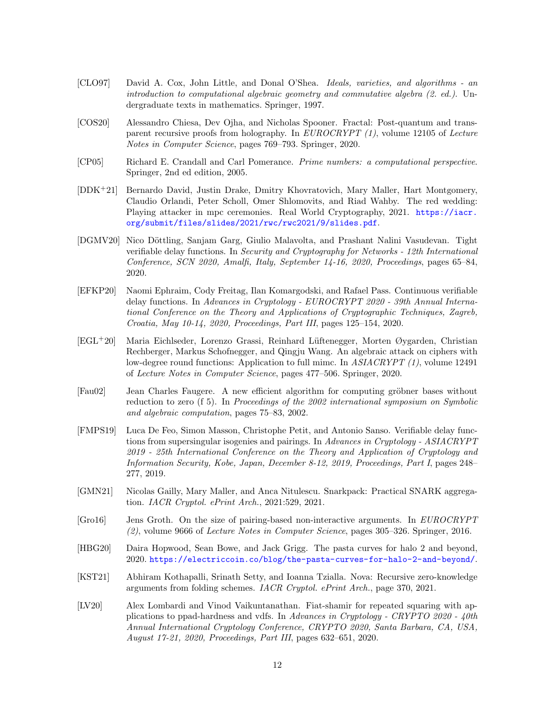- <span id="page-11-10"></span>[CLO97] David A. Cox, John Little, and Donal O'Shea. Ideals, varieties, and algorithms - an introduction to computational algebraic geometry and commutative algebra (2. ed.). Undergraduate texts in mathematics. Springer, 1997.
- <span id="page-11-7"></span>[COS20] Alessandro Chiesa, Dev Ojha, and Nicholas Spooner. Fractal: Post-quantum and transparent recursive proofs from holography. In  $EUROCRYPT$  (1), volume 12105 of Lecture Notes in Computer Science, pages 769–793. Springer, 2020.
- <span id="page-11-12"></span>[CP05] Richard E. Crandall and Carl Pomerance. Prime numbers: a computational perspective. Springer, 2nd ed edition, 2005.
- <span id="page-11-4"></span>[DDK+21] Bernardo David, Justin Drake, Dmitry Khovratovich, Mary Maller, Hart Montgomery, Claudio Orlandi, Peter Scholl, Omer Shlomovits, and Riad Wahby. The red wedding: Playing attacker in mpc ceremonies. Real World Cryptography, 2021. [https://iacr.](https://iacr.org/submit/files/slides/2021/rwc/rwc2021/9/slides.pdf) [org/submit/files/slides/2021/rwc/rwc2021/9/slides.pdf](https://iacr.org/submit/files/slides/2021/rwc/rwc2021/9/slides.pdf).
- <span id="page-11-3"></span>[DGMV20] Nico Döttling, Sanjam Garg, Giulio Malavolta, and Prashant Nalini Vasudevan. Tight verifiable delay functions. In Security and Cryptography for Networks - 12th International Conference, SCN 2020, Amalfi, Italy, September 14-16, 2020, Proceedings, pages 65–84, 2020.
- <span id="page-11-1"></span>[EFKP20] Naomi Ephraim, Cody Freitag, Ilan Komargodski, and Rafael Pass. Continuous verifiable delay functions. In Advances in Cryptology - EUROCRYPT 2020 - 39th Annual International Conference on the Theory and Applications of Cryptographic Techniques, Zagreb, Croatia, May 10-14, 2020, Proceedings, Part III, pages 125–154, 2020.
- <span id="page-11-13"></span>[EGL+20] Maria Eichlseder, Lorenzo Grassi, Reinhard L¨uftenegger, Morten Øygarden, Christian Rechberger, Markus Schofnegger, and Qingju Wang. An algebraic attack on ciphers with low-degree round functions: Application to full mimc. In ASIACRYPT (1), volume 12491 of Lecture Notes in Computer Science, pages 477–506. Springer, 2020.
- <span id="page-11-11"></span>[Fau02] Jean Charles Faugere. A new efficient algorithm for computing gröbner bases without reduction to zero (f 5). In Proceedings of the 2002 international symposium on Symbolic and algebraic computation, pages 75–83, 2002.
- <span id="page-11-0"></span>[FMPS19] Luca De Feo, Simon Masson, Christophe Petit, and Antonio Sanso. Verifiable delay functions from supersingular isogenies and pairings. In Advances in Cryptology - ASIACRYPT 2019 - 25th International Conference on the Theory and Application of Cryptology and Information Security, Kobe, Japan, December 8-12, 2019, Proceedings, Part I, pages 248– 277, 2019.
- <span id="page-11-6"></span>[GMN21] Nicolas Gailly, Mary Maller, and Anca Nitulescu. Snarkpack: Practical SNARK aggregation. IACR Cryptol. ePrint Arch., 2021:529, 2021.
- <span id="page-11-5"></span>[Gro16] Jens Groth. On the size of pairing-based non-interactive arguments. In EUROCRYPT (2), volume 9666 of Lecture Notes in Computer Science, pages 305–326. Springer, 2016.
- <span id="page-11-9"></span>[HBG20] Daira Hopwood, Sean Bowe, and Jack Grigg. The pasta curves for halo 2 and beyond, 2020. <https://electriccoin.co/blog/the-pasta-curves-for-halo-2-and-beyond/>.
- <span id="page-11-8"></span>[KST21] Abhiram Kothapalli, Srinath Setty, and Ioanna Tzialla. Nova: Recursive zero-knowledge arguments from folding schemes. IACR Cryptol. ePrint Arch., page 370, 2021.
- <span id="page-11-2"></span>[LV20] Alex Lombardi and Vinod Vaikuntanathan. Fiat-shamir for repeated squaring with applications to ppad-hardness and vdfs. In Advances in Cryptology - CRYPTO 2020 - 40th Annual International Cryptology Conference, CRYPTO 2020, Santa Barbara, CA, USA, August 17-21, 2020, Proceedings, Part III, pages 632–651, 2020.